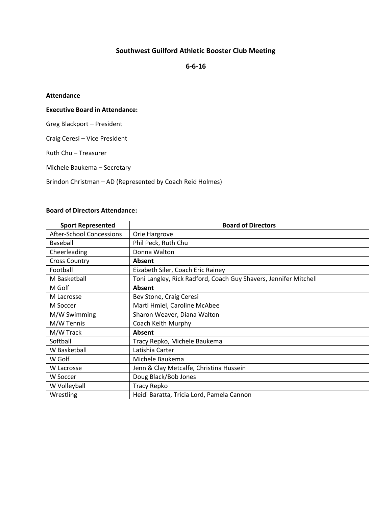# **Southwest Guilford Athletic Booster Club Meeting**

**6-6-16**

# **Attendance**

# **Executive Board in Attendance:**

Greg Blackport – President

Craig Ceresi – Vice President

Ruth Chu – Treasurer

Michele Baukema – Secretary

Brindon Christman – AD (Represented by Coach Reid Holmes)

#### **Board of Directors Attendance:**

| <b>Sport Represented</b> | <b>Board of Directors</b>                                        |
|--------------------------|------------------------------------------------------------------|
| After-School Concessions | Orie Hargrove                                                    |
| Baseball                 | Phil Peck, Ruth Chu                                              |
| Cheerleading             | Donna Walton                                                     |
| <b>Cross Country</b>     | <b>Absent</b>                                                    |
| Football                 | Eizabeth Siler, Coach Eric Rainey                                |
| M Basketball             | Toni Langley, Rick Radford, Coach Guy Shavers, Jennifer Mitchell |
| M Golf                   | <b>Absent</b>                                                    |
| M Lacrosse               | Bev Stone, Craig Ceresi                                          |
| M Soccer                 | Marti Hmiel, Caroline McAbee                                     |
| M/W Swimming             | Sharon Weaver, Diana Walton                                      |
| M/W Tennis               | Coach Keith Murphy                                               |
| M/W Track                | <b>Absent</b>                                                    |
| Softball                 | Tracy Repko, Michele Baukema                                     |
| W Basketball             | Latishia Carter                                                  |
| W Golf                   | Michele Baukema                                                  |
| W Lacrosse               | Jenn & Clay Metcalfe, Christina Hussein                          |
| W Soccer                 | Doug Black/Bob Jones                                             |
| W Volleyball             | <b>Tracy Repko</b>                                               |
| Wrestling                | Heidi Baratta, Tricia Lord, Pamela Cannon                        |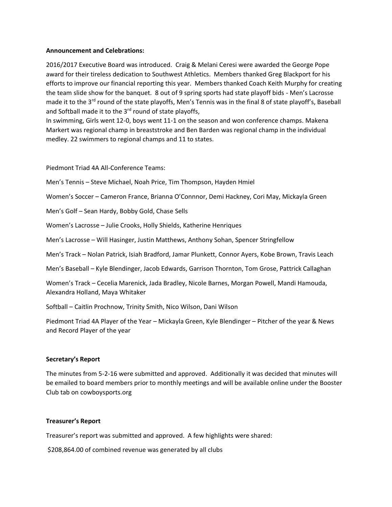#### **Announcement and Celebrations:**

2016/2017 Executive Board was introduced. Craig & Melani Ceresi were awarded the George Pope award for their tireless dedication to Southwest Athletics. Members thanked Greg Blackport for his efforts to improve our financial reporting this year. Members thanked Coach Keith Murphy for creating the team slide show for the banquet. 8 out of 9 spring sports had state playoff bids - Men's Lacrosse made it to the 3<sup>rd</sup> round of the state playoffs, Men's Tennis was in the final 8 of state playoff's, Baseball and Softball made it to the 3<sup>rd</sup> round of state playoffs,

In swimming, Girls went 12-0, boys went 11-1 on the season and won conference champs. Makena Markert was regional champ in breaststroke and Ben Barden was regional champ in the individual medley. 22 swimmers to regional champs and 11 to states.

Piedmont Triad 4A All-Conference Teams:

Men's Tennis – Steve Michael, Noah Price, Tim Thompson, Hayden Hmiel

Women's Soccer – Cameron France, Brianna O'Connnor, Demi Hackney, Cori May, Mickayla Green

Men's Golf – Sean Hardy, Bobby Gold, Chase Sells

Women's Lacrosse – Julie Crooks, Holly Shields, Katherine Henriques

Men's Lacrosse – Will Hasinger, Justin Matthews, Anthony Sohan, Spencer Stringfellow

Men's Track – Nolan Patrick, Isiah Bradford, Jamar Plunkett, Connor Ayers, Kobe Brown, Travis Leach

Men's Baseball – Kyle Blendinger, Jacob Edwards, Garrison Thornton, Tom Grose, Pattrick Callaghan

Women's Track – Cecelia Marenick, Jada Bradley, Nicole Barnes, Morgan Powell, Mandi Hamouda, Alexandra Holland, Maya Whitaker

Softball – Caitlin Prochnow, Trinity Smith, Nico Wilson, Dani Wilson

Piedmont Triad 4A Player of the Year – Mickayla Green, Kyle Blendinger – Pitcher of the year & News and Record Player of the year

# **Secretary's Report**

The minutes from 5-2-16 were submitted and approved. Additionally it was decided that minutes will be emailed to board members prior to monthly meetings and will be available online under the Booster Club tab on cowboysports.org

# **Treasurer's Report**

Treasurer's report was submitted and approved. A few highlights were shared:

\$208,864.00 of combined revenue was generated by all clubs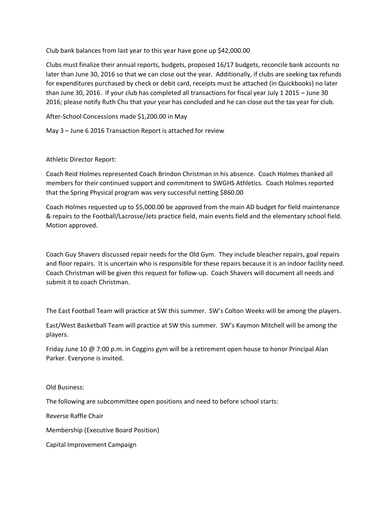Club bank balances from last year to this year have gone up \$42,000.00

Clubs must finalize their annual reports, budgets, proposed 16/17 budgets, reconcile bank accounts no later than June 30, 2016 so that we can close out the year. Additionally, if clubs are seeking tax refunds for expenditures purchased by check or debit card, receipts must be attached (in Quickbooks) no later than June 30, 2016. If your club has completed all transactions for fiscal year July 1 2015 – June 30 2016; please notify Ruth Chu that your year has concluded and he can close out the tax year for club.

After-School Concessions made \$1,200.00 in May

May 3 – June 6 2016 Transaction Report is attached for review

Athletic Director Report:

Coach Reid Holmes represented Coach Brindon Christman in his absence. Coach Holmes thanked all members for their continued support and commitment to SWGHS Athletics. Coach Holmes reported that the Spring Physical program was very successful netting \$860.00

Coach Holmes requested up to \$5,000.00 be approved from the main AD budget for field maintenance & repairs to the Football/Lacrosse/Jets practice field, main events field and the elementary school field. Motion approved.

Coach Guy Shavers discussed repair needs for the Old Gym. They include bleacher repairs, goal repairs and floor repairs. It is uncertain who is responsible for these repairs because it is an indoor facility need. Coach Christman will be given this request for follow-up. Coach Shavers will document all needs and submit it to coach Christman.

The East Football Team will practice at SW this summer. SW's Colton Weeks will be among the players.

East/West Basketball Team will practice at SW this summer. SW's Kaymon Mitchell will be among the players.

Friday June 10 @ 7:00 p.m. in Coggins gym will be a retirement open house to honor Principal Alan Parker. Everyone is invited.

Old Business:

The following are subcommittee open positions and need to before school starts:

Reverse Raffle Chair

Membership (Executive Board Position)

Capital Improvement Campaign